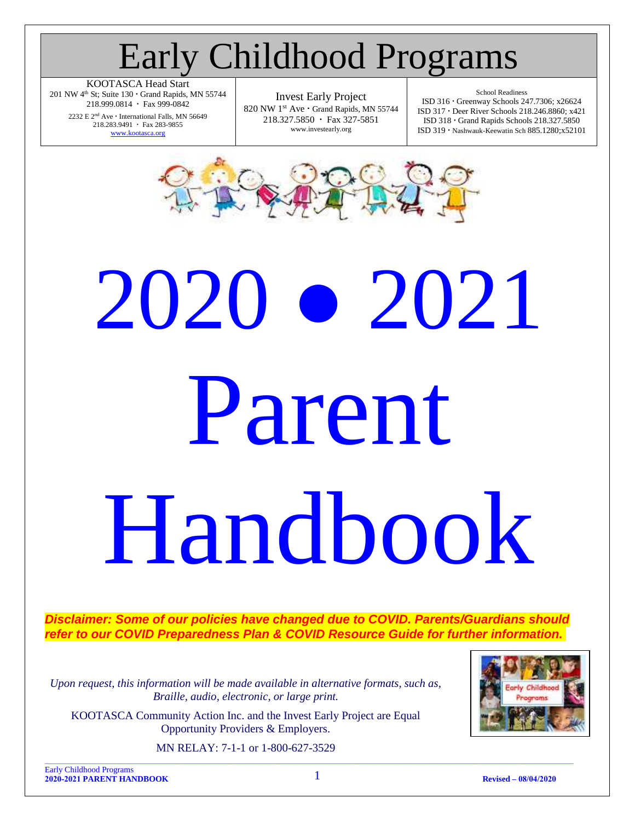### Early Childhood Programs

KOOTASCA Head Start 201 NW  $4<sup>th</sup>$  St; Suite 130  $\cdot$  Grand Rapids, MN 55744 218.999.0814 · Fax 999-0842

> $2232 \to 2^{\rm nd}$  Ave  $^{\backprime}$  International Falls, MN 56649 218.283.9491 · Fax 283-9855 [www.kootasca.org](http://www.kootasca.org/)

Invest Early Project 820 NW 1st Ave · Grand Rapids, MN 55744 218.327.5850 · Fax 327-5851 www.investearly.org

School Readiness ISD 316 Greenway Schools 247.7306; x26624 ISD 317 Deer River Schools 218.246.8860; x421 ISD 318 Grand Rapids Schools 218.327.5850 ISD 319 Nashwauk-Keewatin Sch 885.1280;x52101



# 2020 ● 2021 Parent Handbook

*Disclaimer: Some of our policies have changed due to COVID. Parents/Guardians should*  refer to our COVID Preparedness Plan & COVID Resource Guide for further *information*.

*Upon request, this information will be made available in alternative formats, such as, Braille, audio, electronic, or large print.*

KOOTASCA Community Action Inc. and the Invest Early Project are Equal Opportunity Providers & Employers.

MN RELAY: 7-1-1 or 1-800-627-3529



Early Childhood Programs **2020-2021 PARENT HANDBOOK** 1 **Revised – 08/04/2020**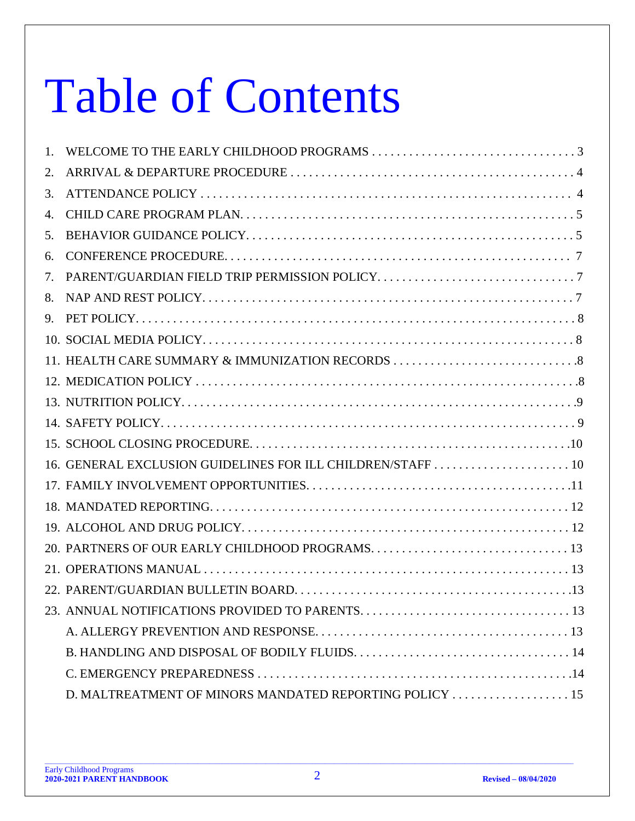## Table of Contents

| 1. |  |
|----|--|
| 2. |  |
| 3. |  |
| 4. |  |
| 5. |  |
| 6. |  |
| 7. |  |
| 8. |  |
| 9. |  |
|    |  |
|    |  |
|    |  |
|    |  |
|    |  |
|    |  |
|    |  |
|    |  |
|    |  |
|    |  |
|    |  |
|    |  |
|    |  |
|    |  |
|    |  |
|    |  |
|    |  |
|    |  |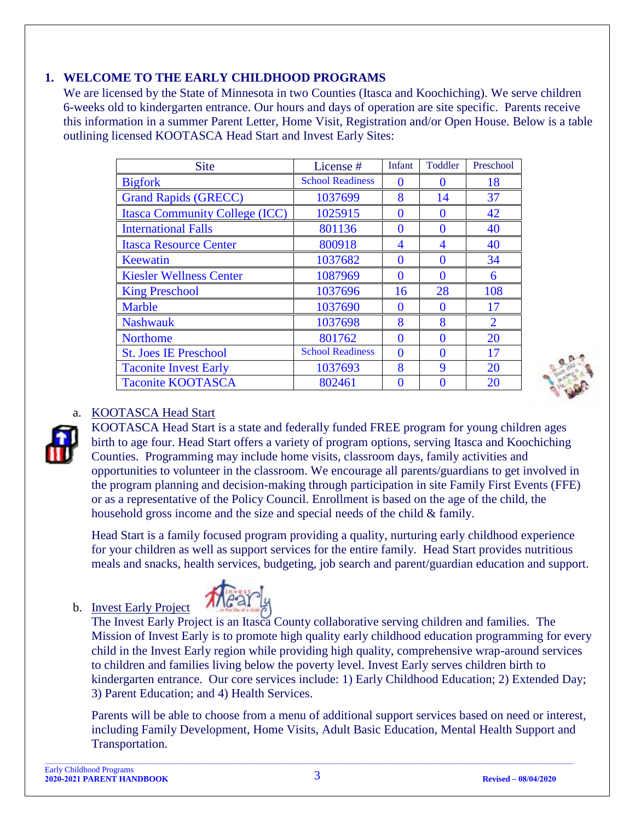#### <span id="page-2-0"></span>**1. WELCOME TO THE EARLY CHILDHOOD PROGRAMS**

We are licensed by the State of Minnesota in two Counties (Itasca and Koochiching). We serve children 6-weeks old to kindergarten entrance. Our hours and days of operation are site specific. Parents receive this information in a summer Parent Letter, Home Visit, Registration and/or Open House. Below is a table outlining licensed KOOTASCA Head Start and Invest Early Sites:

| <b>Site</b>                           | License#                | Infant | Toddler           | Preschool                   |
|---------------------------------------|-------------------------|--------|-------------------|-----------------------------|
| <b>Bigfork</b>                        | <b>School Readiness</b> | 0      |                   | 18                          |
| <b>Grand Rapids (GRECC)</b>           | 1037699                 | 8      | 14                | 37                          |
| <b>Itasca Community College (ICC)</b> | 1025915                 | 0      | $\mathbf{\Omega}$ | 42                          |
| <b>International Falls</b>            | 801136                  | 0      | 0                 | 40                          |
| <b>Itasca Resource Center</b>         | 800918                  | 4      | 4                 | 40                          |
| Keewatin                              | 1037682                 | 0      | 0                 | 34                          |
| <b>Kiesler Wellness Center</b>        | 1087969                 | 0      | $\mathbf{\Omega}$ | 6                           |
| <b>King Preschool</b>                 | 1037696                 | 16     | 28                | 108                         |
| <b>Marble</b>                         | 1037690                 | 0      | $\mathbf{\Omega}$ | 17                          |
| <b>Nashwauk</b>                       | 1037698                 | 8      | 8                 | $\mathcal{D}_{\mathcal{L}}$ |
| <b>Northome</b>                       | 801762                  | 0      | 0                 | 20                          |
| <b>St. Joes IE Preschool</b>          | <b>School Readiness</b> | 0      | ∩                 | 17                          |
| <b>Taconite Invest Early</b>          | 1037693                 | 8      | 9                 | 20                          |
| <b>Taconite KOOTASCA</b>              | 802461                  | 0      |                   | 20                          |

#### a. KOOTASCA Head Start



KOOTASCA Head Start is a state and federally funded FREE program for young children ages birth to age four. Head Start offers a variety of program options, serving Itasca and Koochiching Counties. Programming may include home visits, classroom days, family activities and opportunities to volunteer in the classroom. We encourage all parents/guardians to get involved in the program planning and decision-making through participation in site Family First Events (FFE) or as a representative of the Policy Council. Enrollment is based on the age of the child, the household gross income and the size and special needs of the child & family.

Head Start is a family focused program providing a quality, nurturing early childhood experience for your children as well as support services for the entire family. Head Start provides nutritious meals and snacks, health services, budgeting, job search and parent/guardian education and support.

#### b. Invest Early Project



The Invest Early Project is an Itasca County collaborative serving children and families. The Mission of Invest Early is to promote high quality early childhood education programming for every child in the Invest Early region while providing high quality, comprehensive wrap-around services to children and families living below the poverty level. Invest Early serves children birth to kindergarten entrance. Our core services include: 1) Early Childhood Education; 2) Extended Day; 3) Parent Education; and 4) Health Services.

Parents will be able to choose from a menu of additional support services based on need or interest, including Family Development, Home Visits, Adult Basic Education, Mental Health Support and Transportation.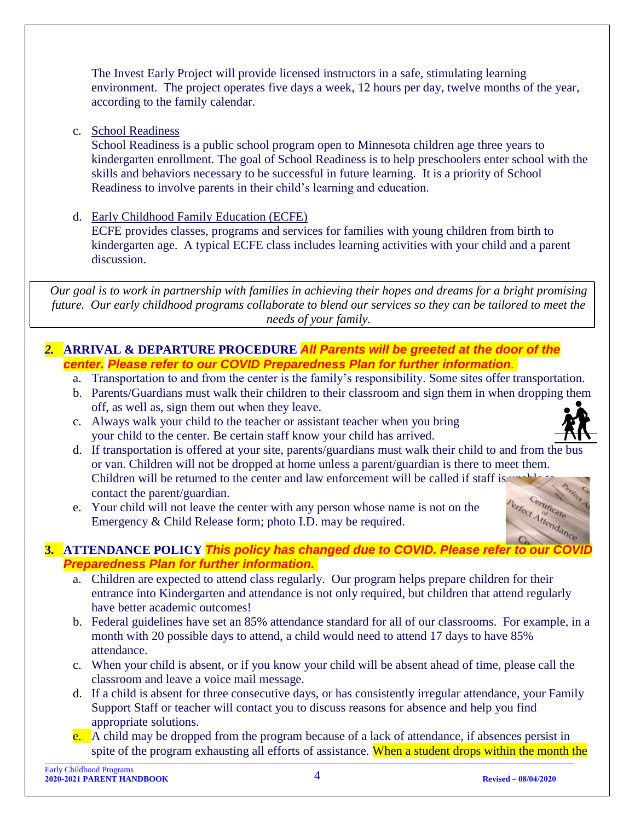The Invest Early Project will provide licensed instructors in a safe, stimulating learning environment. The project operates five days a week, 12 hours per day, twelve months of the year, according to the family calendar.

c. School Readiness

School Readiness is a public school program open to Minnesota children age three years to kindergarten enrollment. The goal of School Readiness is to help preschoolers enter school with the skills and behaviors necessary to be successful in future learning. It is a priority of School Readiness to involve parents in their child's learning and education.

d. Early Childhood Family Education (ECFE)

ECFE provides classes, programs and services for families with young children from birth to kindergarten age. A typical ECFE class includes learning activities with your child and a parent discussion.

*Our goal is to work in partnership with families in achieving their hopes and dreams for a bright promising future. Our early childhood programs collaborate to blend our services so they can be tailored to meet the needs of your family.*

#### <span id="page-3-0"></span>*2.* **ARRIVAL & DEPARTURE PROCEDURE** *All Parents will be greeted at the door of the center. Please refer to our COVID Preparedness Plan for further information.*

- a. Transportation to and from the center is the family's responsibility. Some sites offer transportation.
- b. Parents/Guardians must walk their children to their classroom and sign them in when dropping them off, as well as, sign them out when they leave.
- c. Always walk your child to the teacher or assistant teacher when you bring your child to the center. Be certain staff know your child has arrived.



- d. If transportation is offered at your site, parents/guardians must walk their child to and from the bus or van. Children will not be dropped at home unless a parent/guardian is there to meet them. Children will be returned to the center and law enforcement will be called if staff is contact the parent/guardian. ertificate
- e. Your child will not leave the center with any person whose name is not on the Emergency & Child Release form; photo I.D. may be required.

#### <span id="page-3-1"></span>ect Attendance **3.** ATTENDANCE POLICY **This policy has changed due to COVID. Please refer to** *Preparedness Plan for further information.*

- a. Children are expected to attend class regularly. Our program helps prepare children for their entrance into Kindergarten and attendance is not only required, but children that attend regularly have better academic outcomes!
- b. Federal guidelines have set an 85% attendance standard for all of our classrooms. For example, in a month with 20 possible days to attend, a child would need to attend 17 days to have 85% attendance.
- c. When your child is absent, or if you know your child will be absent ahead of time, please call the classroom and leave a voice mail message.
- d. If a child is absent for three consecutive days, or has consistently irregular attendance, your Family Support Staff or teacher will contact you to discuss reasons for absence and help you find appropriate solutions.
- e. A child may be dropped from the program because of a lack of attendance, if absences persist in spite of the program exhausting all efforts of assistance. When a student drops within the month the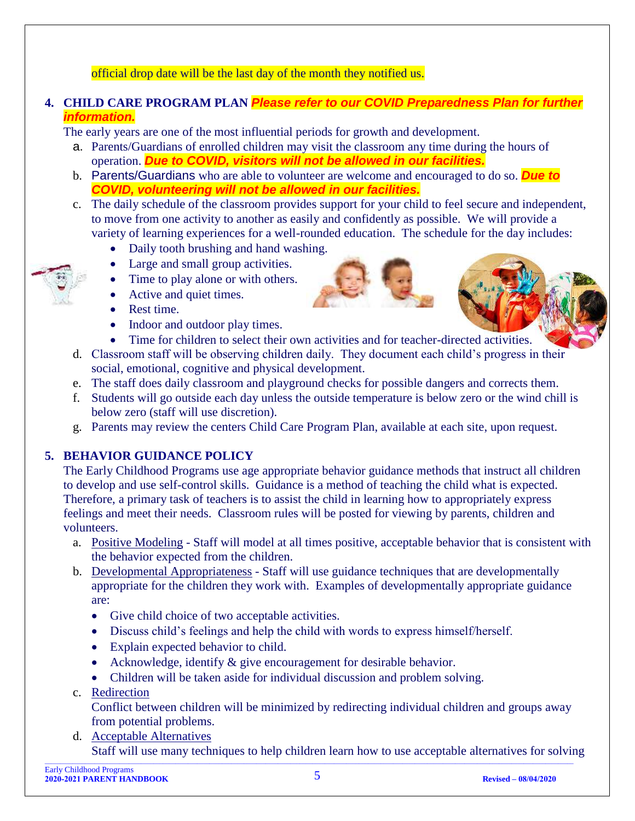#### official drop date will be the last day of the month they notified us.

#### <span id="page-4-0"></span>**4. CHILD CARE PROGRAM PLAN** *Please refer to our COVID Preparedness Plan for further information.*

The early years are one of the most influential periods for growth and development.

- a. Parents/Guardians of enrolled children may visit the classroom any time during the hours of operation. *Due to COVID, visitors will not be allowed in our facilities.*
- b. Parents/Guardians who are able to volunteer are welcome and encouraged to do so. *Due to COVID, volunteering will not be allowed in our facilities.*
- c. The daily schedule of the classroom provides support for your child to feel secure and independent, to move from one activity to another as easily and confidently as possible. We will provide a variety of learning experiences for a well-rounded education. The schedule for the day includes:
	- Daily tooth brushing and hand washing.
	- Large and small group activities.
	- Time to play alone or with others.
	- Active and quiet times.
	- Rest time.
	- Indoor and outdoor play times.





- Time for children to select their own activities and for teacher-directed activities.
- d. Classroom staff will be observing children daily. They document each child's progress in their social, emotional, cognitive and physical development.
- e. The staff does daily classroom and playground checks for possible dangers and corrects them.
- f. Students will go outside each day unless the outside temperature is below zero or the wind chill is below zero (staff will use discretion).
- g. Parents may review the centers Child Care Program Plan, available at each site, upon request.

#### <span id="page-4-1"></span>**5. BEHAVIOR GUIDANCE POLICY**

The Early Childhood Programs use age appropriate behavior guidance methods that instruct all children to develop and use self-control skills. Guidance is a method of teaching the child what is expected. Therefore, a primary task of teachers is to assist the child in learning how to appropriately express feelings and meet their needs. Classroom rules will be posted for viewing by parents, children and volunteers.

- a. Positive Modeling Staff will model at all times positive, acceptable behavior that is consistent with the behavior expected from the children.
- b. Developmental Appropriateness Staff will use guidance techniques that are developmentally appropriate for the children they work with. Examples of developmentally appropriate guidance are:
	- Give child choice of two acceptable activities.
	- Discuss child's feelings and help the child with words to express himself/herself.
	- Explain expected behavior to child.
	- Acknowledge, identify  $\&$  give encouragement for desirable behavior.
	- Children will be taken aside for individual discussion and problem solving.
- c. Redirection

Conflict between children will be minimized by redirecting individual children and groups away from potential problems.

 $\_$  , and the state of the state of the state of the state of the state of the state of the state of the state of the state of the state of the state of the state of the state of the state of the state of the state of the d. Acceptable Alternatives Staff will use many techniques to help children learn how to use acceptable alternatives for solving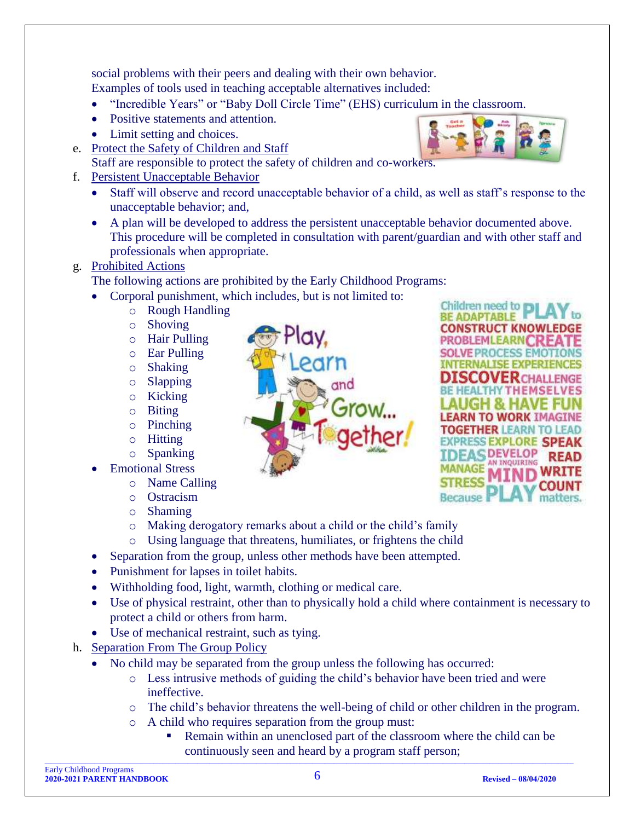social problems with their peers and dealing with their own behavior. Examples of tools used in teaching acceptable alternatives included:

- "Incredible Years" or "Baby Doll Circle Time" (EHS) curriculum in the classroom.
- Positive statements and attention.
- Limit setting and choices.
- e. Protect the Safety of Children and Staff Staff are responsible to protect the safety of children and co-workers.
- f. Persistent Unacceptable Behavior
	- Staff will observe and record unacceptable behavior of a child, as well as staff's response to the unacceptable behavior; and,
	- A plan will be developed to address the persistent unacceptable behavior documented above. This procedure will be completed in consultation with parent/guardian and with other staff and professionals when appropriate.

#### g. Prohibited Actions

The following actions are prohibited by the Early Childhood Programs:

- Corporal punishment, which includes, but is not limited to:
	- o Rough Handling
	- o Shoving
	- o Hair Pulling
	- o Ear Pulling
	- o Shaking
	- o Slapping
	- o Kicking
	- o Biting
	- o Pinching
	- o Hitting
	- o Spanking
- **Emotional Stress** 
	- o Name Calling
	- o Ostracism
	- o Shaming
	- o Making derogatory remarks about a child or the child's family
	- o Using language that threatens, humiliates, or frightens the child
- Separation from the group, unless other methods have been attempted.
- Punishment for lapses in toilet habits.
- Withholding food, light, warmth, clothing or medical care.
- Use of physical restraint, other than to physically hold a child where containment is necessary to protect a child or others from harm.
- Use of mechanical restraint, such as tying.
- h. Separation From The Group Policy
	- No child may be separated from the group unless the following has occurred:
		- o Less intrusive methods of guiding the child's behavior have been tried and were ineffective.
		- o The child's behavior threatens the well-being of child or other children in the program.
		- o A child who requires separation from the group must:
- $\_$  , and the state of the state of the state of the state of the state of the state of the state of the state of the state of the state of the state of the state of the state of the state of the state of the state of the Remain within an unenclosed part of the classroom where the child can be continuously seen and heard by a program staff person;





Children need to r **BE ADAPTABLE CONSTRUCT KNOWI** 

Racauco

FARNI

SS EXPLORE SP **DEVELOP** AN INOUIRING

**RCHALLENGE THEMSELVES**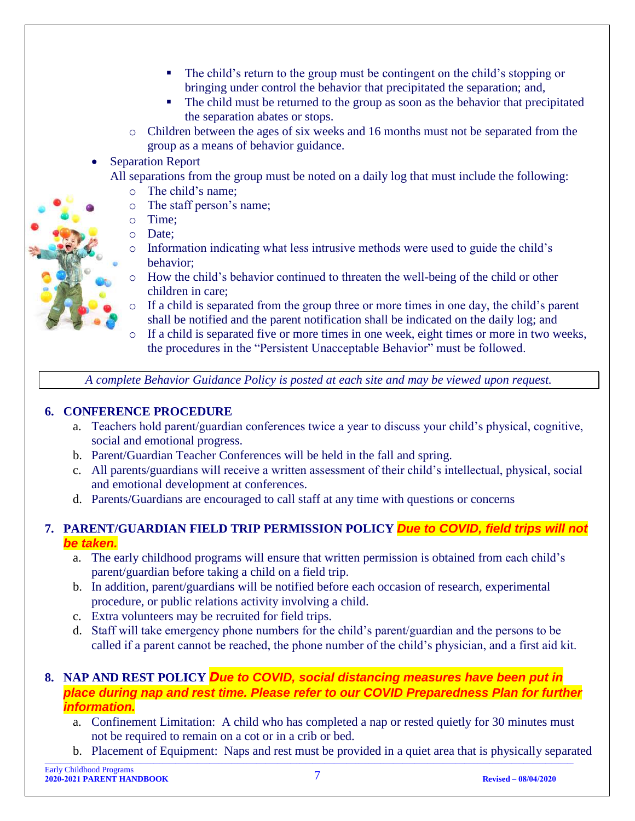- The child's return to the group must be contingent on the child's stopping or bringing under control the behavior that precipitated the separation; and,
- The child must be returned to the group as soon as the behavior that precipitated the separation abates or stops.
- o Children between the ages of six weeks and 16 months must not be separated from the group as a means of behavior guidance.
- **Separation Report**

All separations from the group must be noted on a daily log that must include the following:

- o The child's name;
- o The staff person's name;
- o Time;
- o Date;
- o Information indicating what less intrusive methods were used to guide the child's behavior;
- o How the child's behavior continued to threaten the well-being of the child or other children in care;
- o If a child is separated from the group three or more times in one day, the child's parent shall be notified and the parent notification shall be indicated on the daily log; and
- If a child is separated five or more times in one week, eight times or more in two weeks, the procedures in the "Persistent Unacceptable Behavior" must be followed.

*A complete Behavior Guidance Policy is posted at each site and may be viewed upon request.*

#### <span id="page-6-0"></span>**6. CONFERENCE PROCEDURE**

- a. Teachers hold parent/guardian conferences twice a year to discuss your child's physical, cognitive, social and emotional progress.
- b. Parent/Guardian Teacher Conferences will be held in the fall and spring.
- c. All parents/guardians will receive a written assessment of their child's intellectual, physical, social and emotional development at conferences.
- d. Parents/Guardians are encouraged to call staff at any time with questions or concerns

#### <span id="page-6-1"></span>**7. PARENT/GUARDIAN FIELD TRIP PERMISSION POLICY** *Due to COVID, field trips will not be taken.*

- a. The early childhood programs will ensure that written permission is obtained from each child's parent/guardian before taking a child on a field trip.
- b. In addition, parent/guardians will be notified before each occasion of research, experimental procedure, or public relations activity involving a child.
- c. Extra volunteers may be recruited for field trips.
- d. Staff will take emergency phone numbers for the child's parent/guardian and the persons to be called if a parent cannot be reached, the phone number of the child's physician, and a first aid kit.
- <span id="page-6-2"></span>**8. NAP AND REST POLICY** *Due to COVID, social distancing measures have been put in place during nap and rest time. Please refer to our COVID Preparedness Plan for further information.*
	- a. Confinement Limitation: A child who has completed a nap or rested quietly for 30 minutes must not be required to remain on a cot or in a crib or bed.
- $\_$  , and the state of the state of the state of the state of the state of the state of the state of the state of the state of the state of the state of the state of the state of the state of the state of the state of the b. Placement of Equipment: Naps and rest must be provided in a quiet area that is physically separated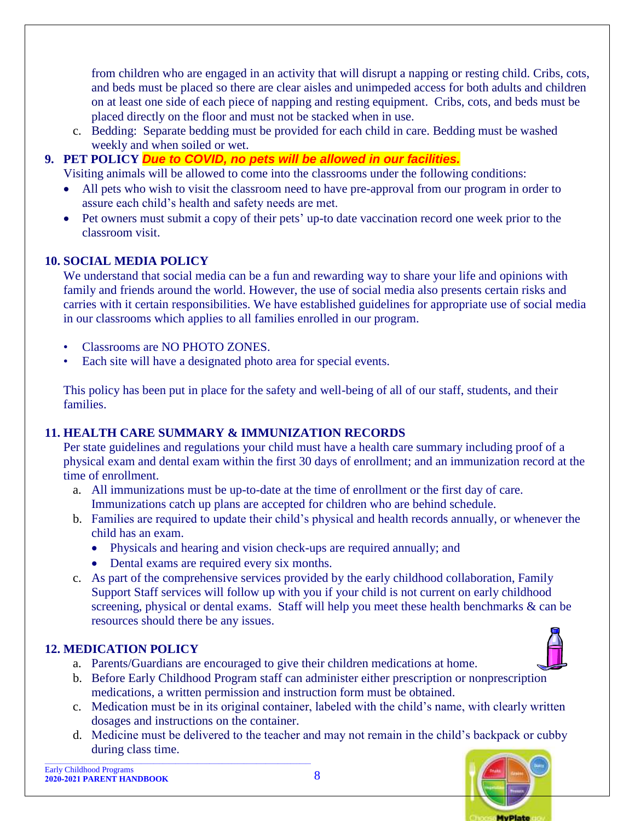from children who are engaged in an activity that will disrupt a napping or resting child. Cribs, cots, and beds must be placed so there are clear aisles and unimpeded access for both adults and children on at least one side of each piece of napping and resting equipment. Cribs, cots, and beds must be placed directly on the floor and must not be stacked when in use.

c. Bedding: Separate bedding must be provided for each child in care. Bedding must be washed weekly and when soiled or wet.

#### <span id="page-7-0"></span>**9. PET POLICY** *Due to COVID, no pets will be allowed in our facilities.*

Visiting animals will be allowed to come into the classrooms under the following conditions:

- All pets who wish to visit the classroom need to have pre-approval from our program in order to assure each child's health and safety needs are met.
- Pet owners must submit a copy of their pets' up-to date vaccination record one week prior to the classroom visit.

#### <span id="page-7-1"></span>**10. SOCIAL MEDIA POLICY**

We understand that social media can be a fun and rewarding way to share your life and opinions with family and friends around the world. However, the use of social media also presents certain risks and carries with it certain responsibilities. We have established guidelines for appropriate use of social media in our classrooms which applies to all families enrolled in our program.

- Classrooms are NO PHOTO ZONES.
- Each site will have a designated photo area for special events.

This policy has been put in place for the safety and well-being of all of our staff, students, and their families.

#### <span id="page-7-2"></span>**11. HEALTH CARE SUMMARY & IMMUNIZATION RECORDS**

Per state guidelines and regulations your child must have a health care summary including proof of a physical exam and dental exam within the first 30 days of enrollment; and an immunization record at the time of enrollment.

- a. All immunizations must be up-to-date at the time of enrollment or the first day of care. Immunizations catch up plans are accepted for children who are behind schedule.
- b. Families are required to update their child's physical and health records annually, or whenever the child has an exam.
	- Physicals and hearing and vision check-ups are required annually; and
	- Dental exams are required every six months.
- c. As part of the comprehensive services provided by the early childhood collaboration, Family Support Staff services will follow up with you if your child is not current on early childhood screening, physical or dental exams. Staff will help you meet these health benchmarks & can be resources should there be any issues.

#### <span id="page-7-3"></span>**12. MEDICATION POLICY**

- a. Parents/Guardians are encouraged to give their children medications at home.
- b. Before Early Childhood Program staff can administer either prescription or nonprescription medications, a written permission and instruction form must be obtained.
- c. Medication must be in its original container, labeled with the child's name, with clearly written dosages and instructions on the container.
- d. Medicine must be delivered to the teacher and may not remain in the child's backpack or cubby during class time.

Early Childhood Programs **2020-2021 PARENT HANDBOOK** 8 **Revised – 08/04/2020**

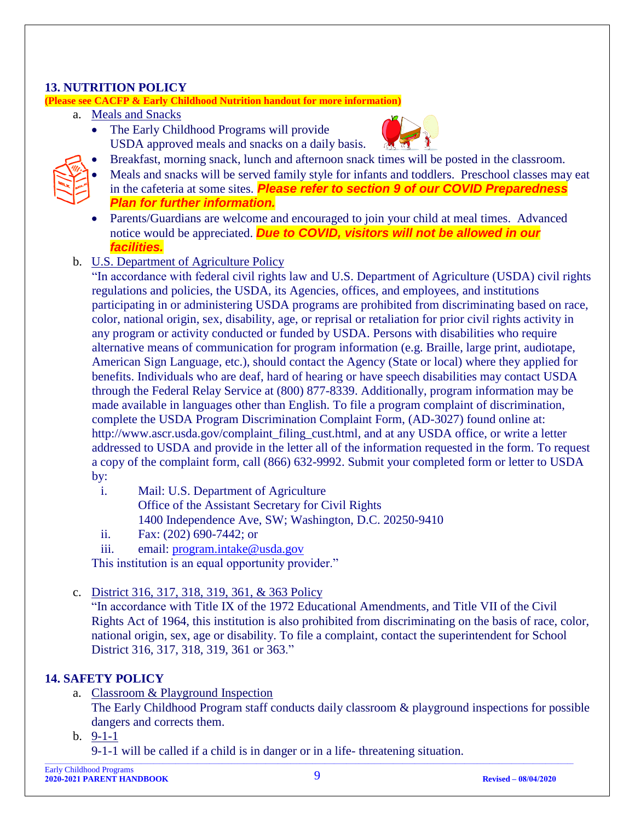#### <span id="page-8-0"></span>**13. NUTRITION POLICY**

**(Please see CACFP & Early Childhood Nutrition handout for more information)**

- a. Meals and Snacks
	- The Early Childhood Programs will provide USDA approved meals and snacks on a daily basis.



- Breakfast, morning snack, lunch and afternoon snack times will be posted in the classroom.
- Meals and snacks will be served family style for infants and toddlers. Preschool classes may eat in the cafeteria at some sites. *Please refer to section 9 of our COVID Preparedness Plan for further information.*
- Parents/Guardians are welcome and encouraged to join your child at meal times. Advanced notice would be appreciated. *Due to COVID, visitors will not be allowed in our facilities.*
- b. U.S. Department of Agriculture Policy

"In accordance with federal civil rights law and U.S. Department of Agriculture (USDA) civil rights regulations and policies, the USDA, its Agencies, offices, and employees, and institutions participating in or administering USDA programs are prohibited from discriminating based on race, color, national origin, sex, disability, age, or reprisal or retaliation for prior civil rights activity in any program or activity conducted or funded by USDA. Persons with disabilities who require alternative means of communication for program information (e.g. Braille, large print, audiotape, American Sign Language, etc.), should contact the Agency (State or local) where they applied for benefits. Individuals who are deaf, hard of hearing or have speech disabilities may contact USDA through the Federal Relay Service at (800) 877-8339. Additionally, program information may be made available in languages other than English. To file a program complaint of discrimination, complete the USDA Program Discrimination Complaint Form, (AD-3027) found online at: http://www.ascr.usda.gov/complaint\_filing\_cust.html, and at any USDA office, or write a letter addressed to USDA and provide in the letter all of the information requested in the form. To request a copy of the complaint form, call (866) 632-9992. Submit your completed form or letter to USDA by:

- i. Mail: U.S. Department of Agriculture Office of the Assistant Secretary for Civil Rights
	- 1400 Independence Ave, SW; Washington, D.C. 20250-9410
- ii. Fax: (202) 690-7442; or
- iii. email: [program.intake@usda.gov](mailto:program.intake@usda.gov)

This institution is an equal opportunity provider."

c. District 316, 317, 318, 319, 361, & 363 Policy

"In accordance with Title IX of the 1972 Educational Amendments, and Title VII of the Civil Rights Act of 1964, this institution is also prohibited from discriminating on the basis of race, color, national origin, sex, age or disability. To file a complaint, contact the superintendent for School District 316, 317, 318, 319, 361 or 363."

#### <span id="page-8-1"></span>**14. SAFETY POLICY**

- a. Classroom & Playground Inspection The Early Childhood Program staff conducts daily classroom & playground inspections for possible dangers and corrects them.
- b. 9-1-1
	- 9-1-1 will be called if a child is in danger or in a life- threatening situation.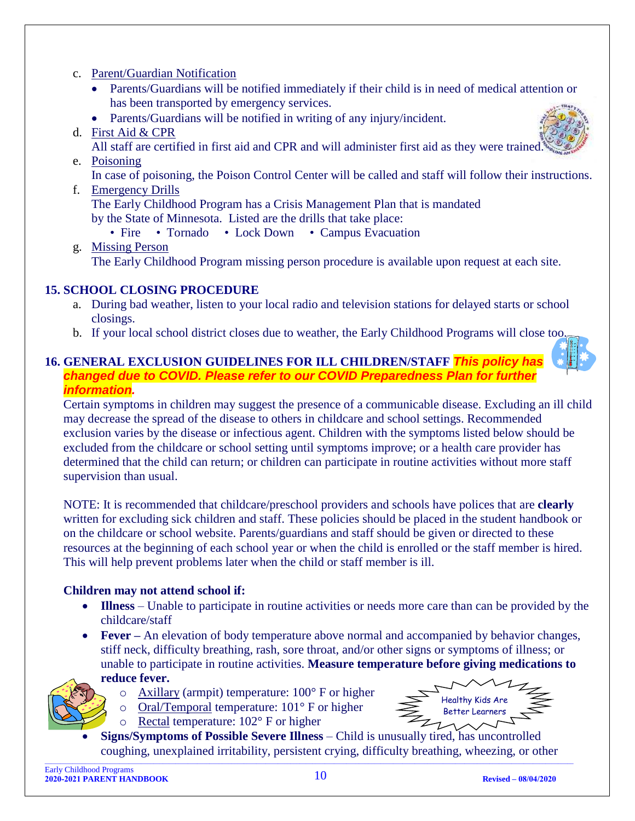#### c. Parent/Guardian Notification

- Parents/Guardians will be notified immediately if their child is in need of medical attention or has been transported by emergency services.
- Parents/Guardians will be notified in writing of any injury/incident.

#### d. First Aid & CPR

All staff are certified in first aid and CPR and will administer first aid as they were trained.

#### e. Poisoning

In case of poisoning, the Poison Control Center will be called and staff will follow their instructions.

#### f. Emergency Drills

The Early Childhood Program has a Crisis Management Plan that is mandated by the State of Minnesota. Listed are the drills that take place:

- Fire Tornado Lock Down Campus Evacuation
- g. Missing Person

The Early Childhood Program missing person procedure is available upon request at each site.

#### <span id="page-9-0"></span>**15. SCHOOL CLOSING PROCEDURE**

- a. During bad weather, listen to your local radio and television stations for delayed starts or school closings.
- b. If your local school district closes due to weather, the Early Childhood Programs will close too.

#### <span id="page-9-1"></span>**16. GENERAL EXCLUSION GUIDELINES FOR ILL CHILDREN/STAFF** *This policy has changed due to COVID. Please refer to our COVID Preparedness Plan for further information.*

Certain symptoms in children may suggest the presence of a communicable disease. Excluding an ill child may decrease the spread of the disease to others in childcare and school settings. Recommended exclusion varies by the disease or infectious agent. Children with the symptoms listed below should be excluded from the childcare or school setting until symptoms improve; or a health care provider has determined that the child can return; or children can participate in routine activities without more staff supervision than usual.

NOTE: It is recommended that childcare/preschool providers and schools have polices that are **clearly**  written for excluding sick children and staff. These policies should be placed in the student handbook or on the childcare or school website. Parents/guardians and staff should be given or directed to these resources at the beginning of each school year or when the child is enrolled or the staff member is hired. This will help prevent problems later when the child or staff member is ill.

#### **Children may not attend school if:**

- **Illness** Unable to participate in routine activities or needs more care than can be provided by the childcare/staff
- **Fever –** An elevation of body temperature above normal and accompanied by behavior changes, stiff neck, difficulty breathing, rash, sore throat, and/or other signs or symptoms of illness; or unable to participate in routine activities. **Measure temperature before giving medications to**



- **reduce fever.**
	- $\circ$  Axillary (armpit) temperature: 100 $\degree$  F or higher
	- o Oral/Temporal temperature: 101° F or higher



- o Rectal temperature: 102° F or higher
- $\_$  , and the state of the state of the state of the state of the state of the state of the state of the state of the state of the state of the state of the state of the state of the state of the state of the state of the • **Signs/Symptoms of Possible Severe Illness** – Child is unusually tired, has uncontrolled coughing, unexplained irritability, persistent crying, difficulty breathing, wheezing, or other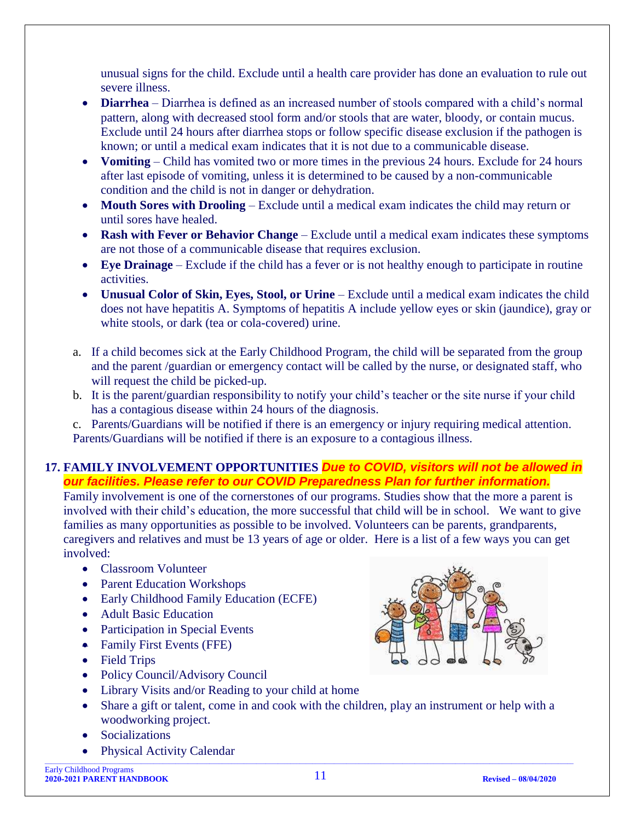unusual signs for the child. Exclude until a health care provider has done an evaluation to rule out severe illness.

- **Diarrhea** Diarrhea is defined as an increased number of stools compared with a child's normal pattern, along with decreased stool form and/or stools that are water, bloody, or contain mucus. Exclude until 24 hours after diarrhea stops or follow specific disease exclusion if the pathogen is known; or until a medical exam indicates that it is not due to a communicable disease.
- **Vomiting** Child has vomited two or more times in the previous 24 hours. Exclude for 24 hours after last episode of vomiting, unless it is determined to be caused by a non-communicable condition and the child is not in danger or dehydration.
- **Mouth Sores with Drooling** Exclude until a medical exam indicates the child may return or until sores have healed.
- **Rash with Fever or Behavior Change** Exclude until a medical exam indicates these symptoms are not those of a communicable disease that requires exclusion.
- **Eye Drainage** Exclude if the child has a fever or is not healthy enough to participate in routine activities.
- **Unusual Color of Skin, Eyes, Stool, or Urine** Exclude until a medical exam indicates the child does not have hepatitis A. Symptoms of hepatitis A include yellow eyes or skin (jaundice), gray or white stools, or dark (tea or cola-covered) urine.
- a. If a child becomes sick at the Early Childhood Program, the child will be separated from the group and the parent /guardian or emergency contact will be called by the nurse, or designated staff, who will request the child be picked-up.
- b. It is the parent/guardian responsibility to notify your child's teacher or the site nurse if your child has a contagious disease within 24 hours of the diagnosis.

c. Parents/Guardians will be notified if there is an emergency or injury requiring medical attention. Parents/Guardians will be notified if there is an exposure to a contagious illness.

#### <span id="page-10-0"></span>**17. FAMILY INVOLVEMENT OPPORTUNITIES** *Due to COVID, visitors will not be allowed in our facilities. Please refer to our COVID Preparedness Plan for further information.*

Family involvement is one of the cornerstones of our programs. Studies show that the more a parent is involved with their child's education, the more successful that child will be in school. We want to give families as many opportunities as possible to be involved. Volunteers can be parents, grandparents, caregivers and relatives and must be 13 years of age or older. Here is a list of a few ways you can get involved:

- Classroom Volunteer
- Parent Education Workshops
- Early Childhood Family Education (ECFE)
- Adult Basic Education
- Participation in Special Events
- Family First Events (FFE)
- Field Trips
- Policy Council/Advisory Council
- Library Visits and/or Reading to your child at home
- Share a gift or talent, come in and cook with the children, play an instrument or help with a woodworking project.
- **Socializations**
- Physical Activity Calendar

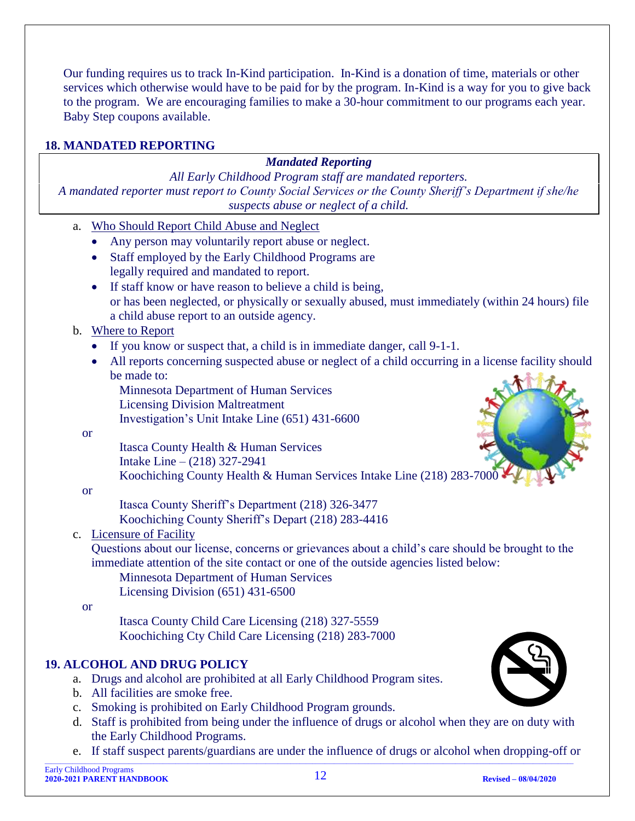Our funding requires us to track In-Kind participation. In-Kind is a donation of time, materials or other services which otherwise would have to be paid for by the program. In-Kind is a way for you to give back to the program. We are encouraging families to make a 30-hour commitment to our programs each year. Baby Step coupons available.

#### <span id="page-11-0"></span>**18. MANDATED REPORTING**

#### *Mandated Reporting*

*All Early Childhood Program staff are mandated reporters. A mandated reporter must report to County Social Services or the County Sheriff's Department if she/he suspects abuse or neglect of a child.*

- a. Who Should Report Child Abuse and Neglect • Any person may voluntarily report abuse or neglect. • Staff employed by the Early Childhood Programs are legally required and mandated to report. • If staff know or have reason to believe a child is being, or has been neglected, or physically or sexually abused, must immediately (within 24 hours) file a child abuse report to an outside agency. b. Where to Report • If you know or suspect that, a child is in immediate danger, call 9-1-1. • All reports concerning suspected abuse or neglect of a child occurring in a license facility should be made to: Minnesota Department of Human Services Licensing Division Maltreatment Investigation's Unit Intake Line (651) 431-6600 or Itasca County Health & Human Services Intake Line – (218) 327-2941 Koochiching County Health & Human Services Intake Line (218) 283-7000 or Itasca County Sheriff's Department (218) 326-3477 Koochiching County Sheriff's Depart (218) 283-4416 c. Licensure of Facility Questions about our license, concerns or grievances about a child's care should be brought to the immediate attention of the site contact or one of the outside agencies listed below: Minnesota Department of Human Services Licensing Division (651) 431-6500 or Itasca County Child Care Licensing (218) 327-5559 Koochiching Cty Child Care Licensing (218) 283-7000 **19. ALCOHOL AND DRUG POLICY** a. Drugs and alcohol are prohibited at all Early Childhood Program sites. b. All facilities are smoke free. c. Smoking is prohibited on Early Childhood Program grounds. d. Staff is prohibited from being under the influence of drugs or alcohol when they are on duty with the Early Childhood Programs.
- <span id="page-11-1"></span> $\_$  , and the state of the state of the state of the state of the state of the state of the state of the state of the state of the state of the state of the state of the state of the state of the state of the state of the e. If staff suspect parents/guardians are under the influence of drugs or alcohol when dropping-off or

Early Childhood Programs **2020-2021 PARENT HANDBOOK** 12 **Revised – 08/04/2020**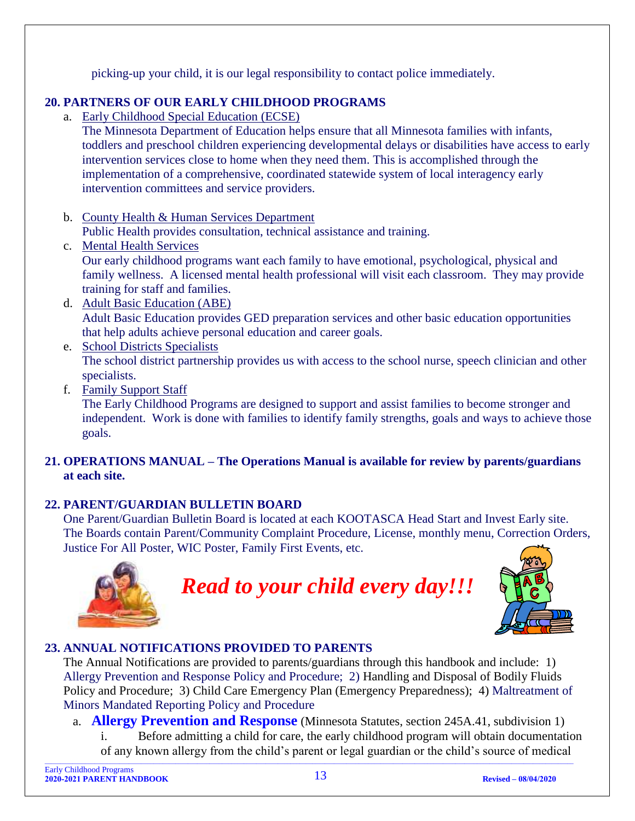picking-up your child, it is our legal responsibility to contact police immediately.

#### <span id="page-12-0"></span>**20. PARTNERS OF OUR EARLY CHILDHOOD PROGRAMS**

a. Early Childhood Special Education (ECSE)

The Minnesota Department of Education helps ensure that all Minnesota families with infants, toddlers and preschool children experiencing developmental delays or disabilities have access to early intervention services close to home when they need them. This is accomplished through the implementation of a comprehensive, coordinated statewide system of local interagency early intervention committees and service providers.

- b. County Health & Human Services Department Public Health provides consultation, technical assistance and training.
- c. Mental Health Services Our early childhood programs want each family to have emotional, psychological, physical and family wellness. A licensed mental health professional will visit each classroom. They may provide training for staff and families.
- d. Adult Basic Education (ABE) Adult Basic Education provides GED preparation services and other basic education opportunities that help adults achieve personal education and career goals.
- e. School Districts Specialists The school district partnership provides us with access to the school nurse, speech clinician and other specialists.
- f. Family Support Staff

The Early Childhood Programs are designed to support and assist families to become stronger and independent. Work is done with families to identify family strengths, goals and ways to achieve those goals.

#### <span id="page-12-1"></span>**21. OPERATIONS MANUAL – The Operations Manual is available for review by parents/guardians at each site.**

#### <span id="page-12-2"></span>**22. PARENT/GUARDIAN BULLETIN BOARD**

One Parent/Guardian Bulletin Board is located at each KOOTASCA Head Start and Invest Early site. The Boards contain Parent/Community Complaint Procedure, License, monthly menu, Correction Orders, Justice For All Poster, WIC Poster, Family First Events, etc.



*Read to your child every day!!!*



#### <span id="page-12-3"></span>**23. ANNUAL NOTIFICATIONS PROVIDED TO PARENTS**

The Annual Notifications are provided to parents/guardians through this handbook and include: 1) Allergy Prevention and Response Policy and Procedure; 2) Handling and Disposal of Bodily Fluids Policy and Procedure; 3) Child Care Emergency Plan (Emergency Preparedness); 4) Maltreatment of Minors Mandated Reporting Policy and Procedure

- a. **Allergy Prevention and Response** (Minnesota Statutes, section 245A.41, subdivision 1)
- <span id="page-12-4"></span> $\_$  , and the state of the state of the state of the state of the state of the state of the state of the state of the state of the state of the state of the state of the state of the state of the state of the state of the Before admitting a child for care, the early childhood program will obtain documentation of any known allergy from the child's parent or legal guardian or the child's source of medical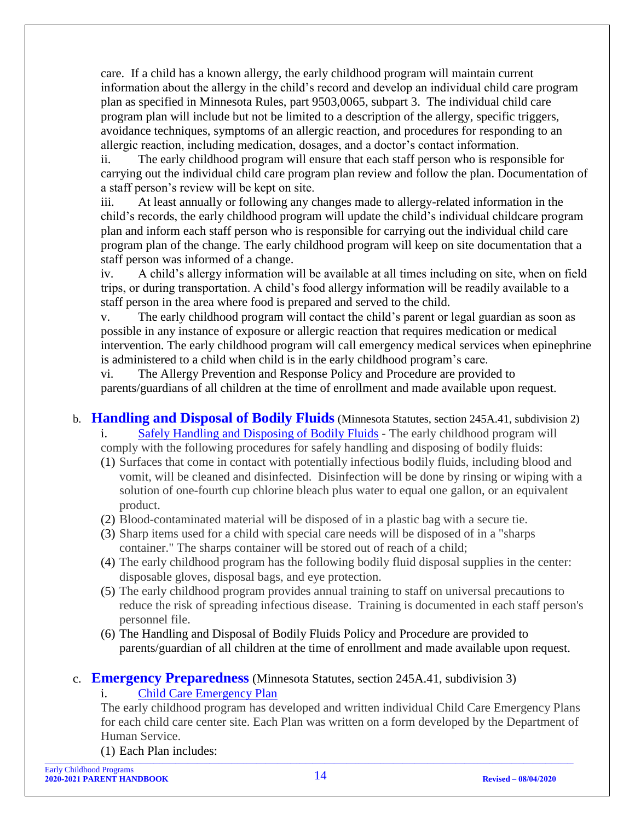care. If a child has a known allergy, the early childhood program will maintain current information about the allergy in the child's record and develop an individual child care program plan as specified in Minnesota Rules, part 9503,0065, subpart 3. The individual child care program plan will include but not be limited to a description of the allergy, specific triggers, avoidance techniques, symptoms of an allergic reaction, and procedures for responding to an allergic reaction, including medication, dosages, and a doctor's contact information.

ii. The early childhood program will ensure that each staff person who is responsible for carrying out the individual child care program plan review and follow the plan. Documentation of a staff person's review will be kept on site.

iii. At least annually or following any changes made to allergy-related information in the child's records, the early childhood program will update the child's individual childcare program plan and inform each staff person who is responsible for carrying out the individual child care program plan of the change. The early childhood program will keep on site documentation that a staff person was informed of a change.

iv. A child's allergy information will be available at all times including on site, when on field trips, or during transportation. A child's food allergy information will be readily available to a staff person in the area where food is prepared and served to the child.

The early childhood program will contact the child's parent or legal guardian as soon as possible in any instance of exposure or allergic reaction that requires medication or medical intervention. The early childhood program will call emergency medical services when epinephrine is administered to a child when child is in the early childhood program's care.

vi. The Allergy Prevention and Response Policy and Procedure are provided to parents/guardians of all children at the time of enrollment and made available upon request.

- <span id="page-13-0"></span>b. **Handling and Disposal of Bodily Fluids** (Minnesota Statutes, section 245A.41, subdivision 2) i. Safely Handling and Disposing of Bodily Fluids - The early childhood program will comply with the following procedures for safely handling and disposing of bodily fluids:
	- (1) Surfaces that come in contact with potentially infectious bodily fluids, including blood and vomit, will be cleaned and disinfected. Disinfection will be done by rinsing or wiping with a solution of one-fourth cup chlorine bleach plus water to equal one gallon, or an equivalent product.
	- (2) Blood-contaminated material will be disposed of in a plastic bag with a secure tie.
	- (3) Sharp items used for a child with special care needs will be disposed of in a "sharps container." The sharps container will be stored out of reach of a child;
	- (4) The early childhood program has the following bodily fluid disposal supplies in the center: disposable gloves, disposal bags, and eye protection.
	- (5) The early childhood program provides annual training to staff on universal precautions to reduce the risk of spreading infectious disease. Training is documented in each staff person's personnel file.
	- (6) The Handling and Disposal of Bodily Fluids Policy and Procedure are provided to parents/guardian of all children at the time of enrollment and made available upon request.

#### <span id="page-13-1"></span>c. **Emergency Preparedness** (Minnesota Statutes, section 245A.41, subdivision 3)

#### i. Child Care Emergency Plan

The early childhood program has developed and written individual Child Care Emergency Plans for each child care center site. Each Plan was written on a form developed by the Department of Human Service.

(1) Each Plan includes: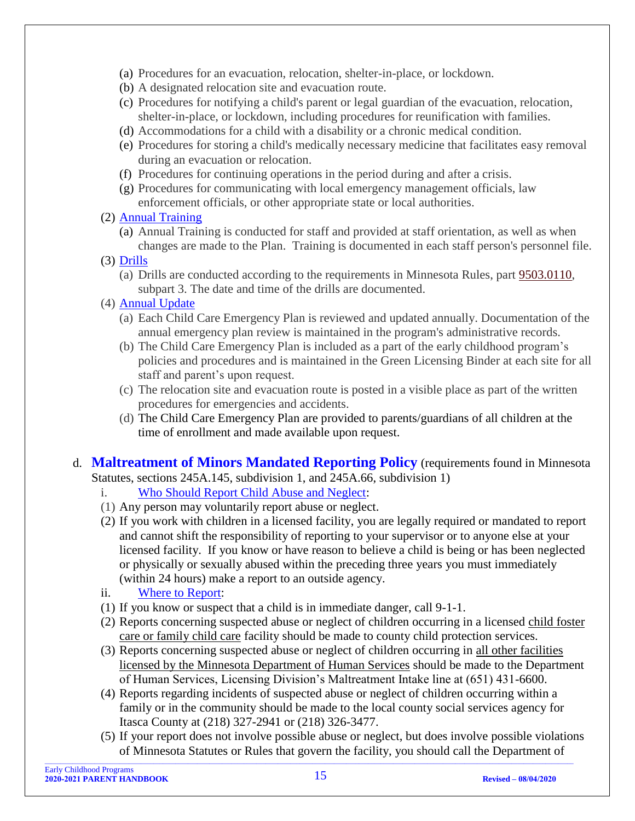- (a) Procedures for an evacuation, relocation, shelter-in-place, or lockdown.
- (b) A designated relocation site and evacuation route.
- (c) Procedures for notifying a child's parent or legal guardian of the evacuation, relocation, shelter-in-place, or lockdown, including procedures for reunification with families.
- (d) Accommodations for a child with a disability or a chronic medical condition.
- (e) Procedures for storing a child's medically necessary medicine that facilitates easy removal during an evacuation or relocation.
- (f) Procedures for continuing operations in the period during and after a crisis.
- (g) Procedures for communicating with local emergency management officials, law enforcement officials, or other appropriate state or local authorities.
- (2) Annual Training
	- (a) Annual Training is conducted for staff and provided at staff orientation, as well as when changes are made to the Plan. Training is documented in each staff person's personnel file.
- (3) Drills
	- (a) Drills are conducted according to the requirements in Minnesota Rules, part [9503.0110,](https://www.revisor.mn.gov/rules/9503.0110) subpart 3. The date and time of the drills are documented.
- (4) Annual Update
	- (a) Each Child Care Emergency Plan is reviewed and updated annually. Documentation of the annual emergency plan review is maintained in the program's administrative records.
	- (b) The Child Care Emergency Plan is included as a part of the early childhood program's policies and procedures and is maintained in the Green Licensing Binder at each site for all staff and parent's upon request.
	- (c) The relocation site and evacuation route is posted in a visible place as part of the written procedures for emergencies and accidents.
	- (d) The Child Care Emergency Plan are provided to parents/guardians of all children at the time of enrollment and made available upon request.

<span id="page-14-0"></span>d. **Maltreatment of Minors Mandated Reporting Policy** (requirements found in Minnesota Statutes, sections 245A.145, subdivision 1, and 245A.66, subdivision 1)

- i. Who Should Report Child Abuse and Neglect:
- 
- (1) Any person may voluntarily report abuse or neglect.
- (2) If you work with children in a licensed facility, you are legally required or mandated to report and cannot shift the responsibility of reporting to your supervisor or to anyone else at your licensed facility. If you know or have reason to believe a child is being or has been neglected or physically or sexually abused within the preceding three years you must immediately (within 24 hours) make a report to an outside agency.
- ii. Where to Report:
- (1) If you know or suspect that a child is in immediate danger, call 9-1-1.
- (2) Reports concerning suspected abuse or neglect of children occurring in a licensed child foster care or family child care facility should be made to county child protection services.
- (3) Reports concerning suspected abuse or neglect of children occurring in all other facilities licensed by the Minnesota Department of Human Services should be made to the Department of Human Services, Licensing Division's Maltreatment Intake line at (651) 431-6600.
- (4) Reports regarding incidents of suspected abuse or neglect of children occurring within a family or in the community should be made to the local county social services agency for Itasca County at (218) 327-2941 or (218) 326-3477.
- $\_$  , and the state of the state of the state of the state of the state of the state of the state of the state of the state of the state of the state of the state of the state of the state of the state of the state of the (5) If your report does not involve possible abuse or neglect, but does involve possible violations of Minnesota Statutes or Rules that govern the facility, you should call the Department of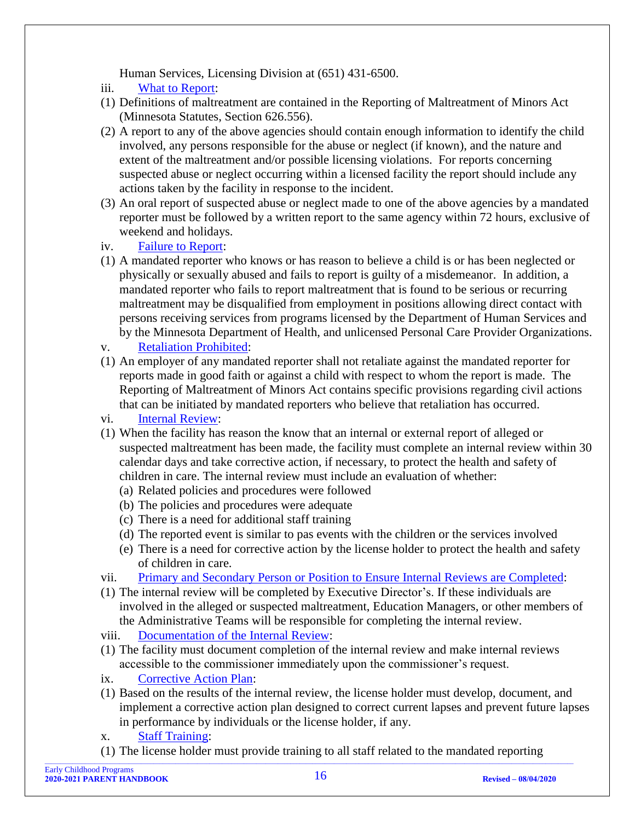Human Services, Licensing Division at (651) 431-6500.

- iii. What to Report:
- (1) Definitions of maltreatment are contained in the Reporting of Maltreatment of Minors Act (Minnesota Statutes, Section 626.556).
- (2) A report to any of the above agencies should contain enough information to identify the child involved, any persons responsible for the abuse or neglect (if known), and the nature and extent of the maltreatment and/or possible licensing violations. For reports concerning suspected abuse or neglect occurring within a licensed facility the report should include any actions taken by the facility in response to the incident.
- (3) An oral report of suspected abuse or neglect made to one of the above agencies by a mandated reporter must be followed by a written report to the same agency within 72 hours, exclusive of weekend and holidays.
- iv. Failure to Report:
- (1) A mandated reporter who knows or has reason to believe a child is or has been neglected or physically or sexually abused and fails to report is guilty of a misdemeanor. In addition, a mandated reporter who fails to report maltreatment that is found to be serious or recurring maltreatment may be disqualified from employment in positions allowing direct contact with persons receiving services from programs licensed by the Department of Human Services and by the Minnesota Department of Health, and unlicensed Personal Care Provider Organizations.
- v. Retaliation Prohibited:
- (1) An employer of any mandated reporter shall not retaliate against the mandated reporter for reports made in good faith or against a child with respect to whom the report is made. The Reporting of Maltreatment of Minors Act contains specific provisions regarding civil actions that can be initiated by mandated reporters who believe that retaliation has occurred.
- vi. Internal Review:
- (1) When the facility has reason the know that an internal or external report of alleged or suspected maltreatment has been made, the facility must complete an internal review within 30 calendar days and take corrective action, if necessary, to protect the health and safety of children in care. The internal review must include an evaluation of whether:
	- (a) Related policies and procedures were followed
	- (b) The policies and procedures were adequate
	- (c) There is a need for additional staff training
	- (d) The reported event is similar to pas events with the children or the services involved
	- (e) There is a need for corrective action by the license holder to protect the health and safety of children in care.
- vii. Primary and Secondary Person or Position to Ensure Internal Reviews are Completed:
- (1) The internal review will be completed by Executive Director's. If these individuals are involved in the alleged or suspected maltreatment, Education Managers, or other members of the Administrative Teams will be responsible for completing the internal review.
- viii. Documentation of the Internal Review:
- (1) The facility must document completion of the internal review and make internal reviews accessible to the commissioner immediately upon the commissioner's request.
- ix. Corrective Action Plan:
- (1) Based on the results of the internal review, the license holder must develop, document, and implement a corrective action plan designed to correct current lapses and prevent future lapses in performance by individuals or the license holder, if any.
- x. Staff Training:
- (1) The license holder must provide training to all staff related to the mandated reporting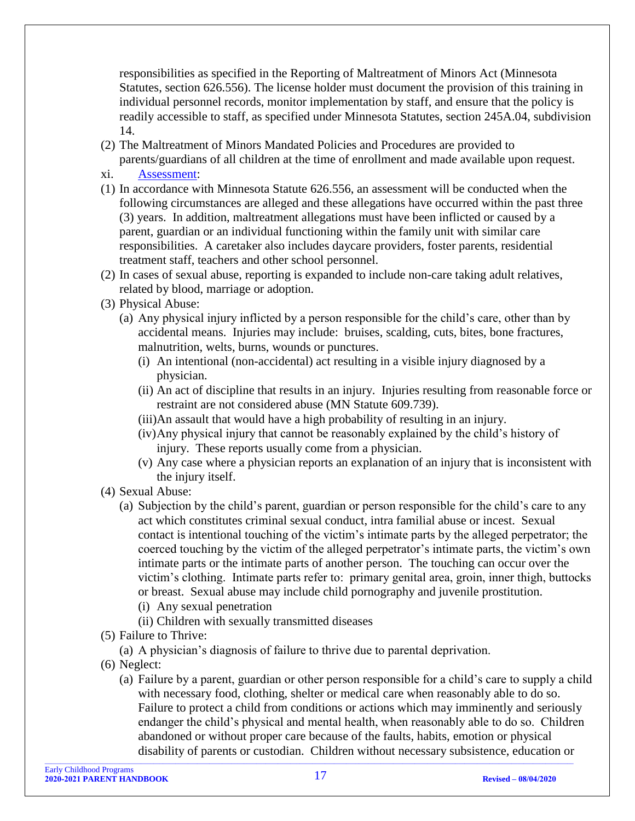responsibilities as specified in the Reporting of Maltreatment of Minors Act (Minnesota Statutes, section 626.556). The license holder must document the provision of this training in individual personnel records, monitor implementation by staff, and ensure that the policy is readily accessible to staff, as specified under Minnesota Statutes, section 245A.04, subdivision 14.

- (2) The Maltreatment of Minors Mandated Policies and Procedures are provided to parents/guardians of all children at the time of enrollment and made available upon request.
- xi. Assessment:
- (1) In accordance with Minnesota Statute 626.556, an assessment will be conducted when the following circumstances are alleged and these allegations have occurred within the past three (3) years. In addition, maltreatment allegations must have been inflicted or caused by a parent, guardian or an individual functioning within the family unit with similar care responsibilities. A caretaker also includes daycare providers, foster parents, residential treatment staff, teachers and other school personnel.
- (2) In cases of sexual abuse, reporting is expanded to include non-care taking adult relatives, related by blood, marriage or adoption.
- (3) Physical Abuse:
	- (a) Any physical injury inflicted by a person responsible for the child's care, other than by accidental means. Injuries may include: bruises, scalding, cuts, bites, bone fractures, malnutrition, welts, burns, wounds or punctures.
		- (i) An intentional (non-accidental) act resulting in a visible injury diagnosed by a physician.
		- (ii) An act of discipline that results in an injury. Injuries resulting from reasonable force or restraint are not considered abuse (MN Statute 609.739).
		- (iii)An assault that would have a high probability of resulting in an injury.
		- (iv)Any physical injury that cannot be reasonably explained by the child's history of injury. These reports usually come from a physician.
		- (v) Any case where a physician reports an explanation of an injury that is inconsistent with the injury itself.
- (4) Sexual Abuse:
	- (a) Subjection by the child's parent, guardian or person responsible for the child's care to any act which constitutes criminal sexual conduct, intra familial abuse or incest. Sexual contact is intentional touching of the victim's intimate parts by the alleged perpetrator; the coerced touching by the victim of the alleged perpetrator's intimate parts, the victim's own intimate parts or the intimate parts of another person. The touching can occur over the victim's clothing. Intimate parts refer to: primary genital area, groin, inner thigh, buttocks or breast. Sexual abuse may include child pornography and juvenile prostitution.
		- (i) Any sexual penetration
		- (ii) Children with sexually transmitted diseases
- (5) Failure to Thrive:
	- (a) A physician's diagnosis of failure to thrive due to parental deprivation.
- (6) Neglect:
	- (a) Failure by a parent, guardian or other person responsible for a child's care to supply a child with necessary food, clothing, shelter or medical care when reasonably able to do so. Failure to protect a child from conditions or actions which may imminently and seriously endanger the child's physical and mental health, when reasonably able to do so. Children abandoned or without proper care because of the faults, habits, emotion or physical disability of parents or custodian. Children without necessary subsistence, education or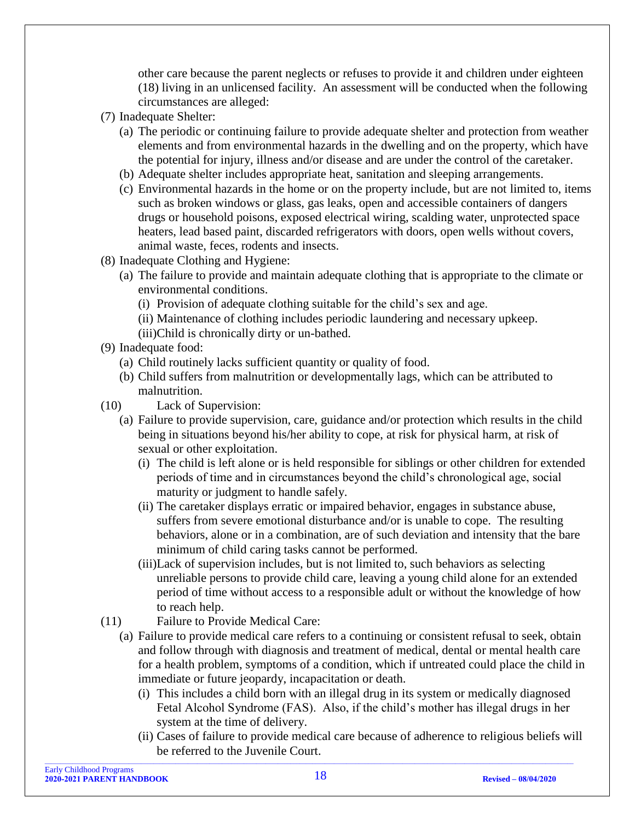other care because the parent neglects or refuses to provide it and children under eighteen (18) living in an unlicensed facility. An assessment will be conducted when the following circumstances are alleged:

- (7) Inadequate Shelter:
	- (a) The periodic or continuing failure to provide adequate shelter and protection from weather elements and from environmental hazards in the dwelling and on the property, which have the potential for injury, illness and/or disease and are under the control of the caretaker.
	- (b) Adequate shelter includes appropriate heat, sanitation and sleeping arrangements.
	- (c) Environmental hazards in the home or on the property include, but are not limited to, items such as broken windows or glass, gas leaks, open and accessible containers of dangers drugs or household poisons, exposed electrical wiring, scalding water, unprotected space heaters, lead based paint, discarded refrigerators with doors, open wells without covers, animal waste, feces, rodents and insects.
- (8) Inadequate Clothing and Hygiene:
	- (a) The failure to provide and maintain adequate clothing that is appropriate to the climate or environmental conditions.
		- (i) Provision of adequate clothing suitable for the child's sex and age.
		- (ii) Maintenance of clothing includes periodic laundering and necessary upkeep.
		- (iii)Child is chronically dirty or un-bathed.
- (9) Inadequate food:
	- (a) Child routinely lacks sufficient quantity or quality of food.
	- (b) Child suffers from malnutrition or developmentally lags, which can be attributed to malnutrition.
- (10) Lack of Supervision:
	- (a) Failure to provide supervision, care, guidance and/or protection which results in the child being in situations beyond his/her ability to cope, at risk for physical harm, at risk of sexual or other exploitation.
		- (i) The child is left alone or is held responsible for siblings or other children for extended periods of time and in circumstances beyond the child's chronological age, social maturity or judgment to handle safely.
		- (ii) The caretaker displays erratic or impaired behavior, engages in substance abuse, suffers from severe emotional disturbance and/or is unable to cope. The resulting behaviors, alone or in a combination, are of such deviation and intensity that the bare minimum of child caring tasks cannot be performed.
		- (iii)Lack of supervision includes, but is not limited to, such behaviors as selecting unreliable persons to provide child care, leaving a young child alone for an extended period of time without access to a responsible adult or without the knowledge of how to reach help.
- (11) Failure to Provide Medical Care:
	- (a) Failure to provide medical care refers to a continuing or consistent refusal to seek, obtain and follow through with diagnosis and treatment of medical, dental or mental health care for a health problem, symptoms of a condition, which if untreated could place the child in immediate or future jeopardy, incapacitation or death.
		- (i) This includes a child born with an illegal drug in its system or medically diagnosed Fetal Alcohol Syndrome (FAS). Also, if the child's mother has illegal drugs in her system at the time of delivery.
		- (ii) Cases of failure to provide medical care because of adherence to religious beliefs will be referred to the Juvenile Court.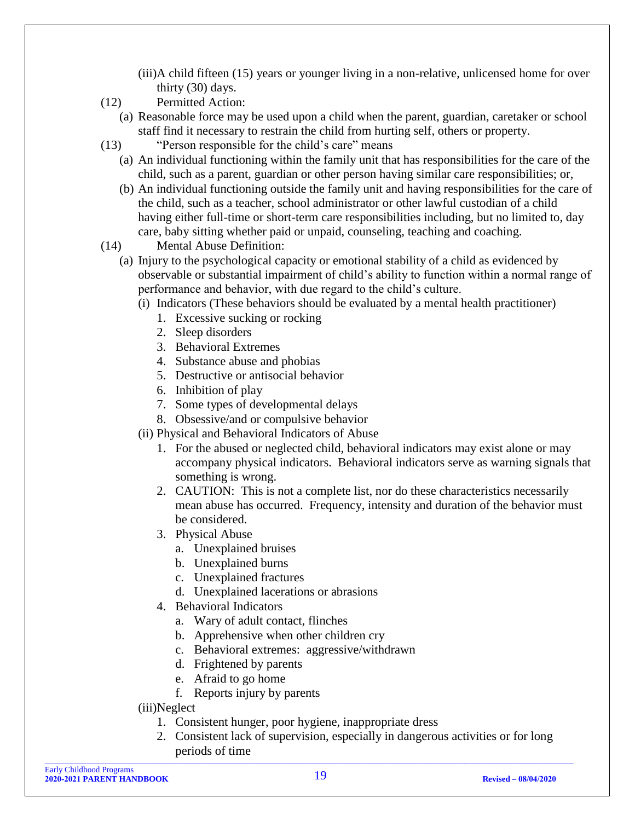- (iii)A child fifteen (15) years or younger living in a non-relative, unlicensed home for over thirty (30) days.
- (12) Permitted Action:
	- (a) Reasonable force may be used upon a child when the parent, guardian, caretaker or school staff find it necessary to restrain the child from hurting self, others or property.
- (13) "Person responsible for the child's care" means
	- (a) An individual functioning within the family unit that has responsibilities for the care of the child, such as a parent, guardian or other person having similar care responsibilities; or,
	- (b) An individual functioning outside the family unit and having responsibilities for the care of the child, such as a teacher, school administrator or other lawful custodian of a child having either full-time or short-term care responsibilities including, but no limited to, day care, baby sitting whether paid or unpaid, counseling, teaching and coaching.
- (14) Mental Abuse Definition:
	- (a) Injury to the psychological capacity or emotional stability of a child as evidenced by observable or substantial impairment of child's ability to function within a normal range of performance and behavior, with due regard to the child's culture.
		- (i) Indicators (These behaviors should be evaluated by a mental health practitioner)
			- 1. Excessive sucking or rocking
			- 2. Sleep disorders
			- 3. Behavioral Extremes
			- 4. Substance abuse and phobias
			- 5. Destructive or antisocial behavior
			- 6. Inhibition of play
			- 7. Some types of developmental delays
			- 8. Obsessive/and or compulsive behavior
		- (ii) Physical and Behavioral Indicators of Abuse
			- 1. For the abused or neglected child, behavioral indicators may exist alone or may accompany physical indicators. Behavioral indicators serve as warning signals that something is wrong.
			- 2. CAUTION: This is not a complete list, nor do these characteristics necessarily mean abuse has occurred. Frequency, intensity and duration of the behavior must be considered.
			- 3. Physical Abuse
				- a. Unexplained bruises
				- b. Unexplained burns
				- c. Unexplained fractures
				- d. Unexplained lacerations or abrasions
			- 4. Behavioral Indicators
				- a. Wary of adult contact, flinches
				- b. Apprehensive when other children cry
				- c. Behavioral extremes: aggressive/withdrawn
				- d. Frightened by parents
				- e. Afraid to go home
				- f. Reports injury by parents
		- (iii)Neglect
			- 1. Consistent hunger, poor hygiene, inappropriate dress
			- 2. Consistent lack of supervision, especially in dangerous activities or for long periods of time